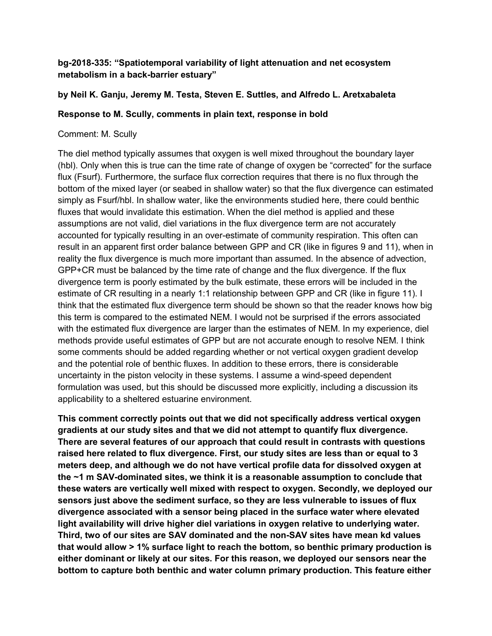## **bg-2018-335: "Spatiotemporal variability of light attenuation and net ecosystem metabolism in a back-barrier estuary"**

## **by Neil K. Ganju, Jeremy M. Testa, Steven E. Suttles, and Alfredo L. Aretxabaleta**

## **Response to M. Scully, comments in plain text, response in bold**

## Comment: M. Scully

The diel method typically assumes that oxygen is well mixed throughout the boundary layer (hbl). Only when this is true can the time rate of change of oxygen be "corrected" for the surface flux (Fsurf). Furthermore, the surface flux correction requires that there is no flux through the bottom of the mixed layer (or seabed in shallow water) so that the flux divergence can estimated simply as Fsurf/hbl. In shallow water, like the environments studied here, there could benthic fluxes that would invalidate this estimation. When the diel method is applied and these assumptions are not valid, diel variations in the flux divergence term are not accurately accounted for typically resulting in an over-estimate of community respiration. This often can result in an apparent first order balance between GPP and CR (like in figures 9 and 11), when in reality the flux divergence is much more important than assumed. In the absence of advection, GPP+CR must be balanced by the time rate of change and the flux divergence. If the flux divergence term is poorly estimated by the bulk estimate, these errors will be included in the estimate of CR resulting in a nearly 1:1 relationship between GPP and CR (like in figure 11). I think that the estimated flux divergence term should be shown so that the reader knows how big this term is compared to the estimated NEM. I would not be surprised if the errors associated with the estimated flux divergence are larger than the estimates of NEM. In my experience, diel methods provide useful estimates of GPP but are not accurate enough to resolve NEM. I think some comments should be added regarding whether or not vertical oxygen gradient develop and the potential role of benthic fluxes. In addition to these errors, there is considerable uncertainty in the piston velocity in these systems. I assume a wind-speed dependent formulation was used, but this should be discussed more explicitly, including a discussion its applicability to a sheltered estuarine environment.

**This comment correctly points out that we did not specifically address vertical oxygen gradients at our study sites and that we did not attempt to quantify flux divergence. There are several features of our approach that could result in contrasts with questions raised here related to flux divergence. First, our study sites are less than or equal to 3 meters deep, and although we do not have vertical profile data for dissolved oxygen at the ~1 m SAV-dominated sites, we think it is a reasonable assumption to conclude that these waters are vertically well mixed with respect to oxygen. Secondly, we deployed our sensors just above the sediment surface, so they are less vulnerable to issues of flux divergence associated with a sensor being placed in the surface water where elevated light availability will drive higher diel variations in oxygen relative to underlying water. Third, two of our sites are SAV dominated and the non-SAV sites have mean kd values that would allow > 1% surface light to reach the bottom, so benthic primary production is either dominant or likely at our sites. For this reason, we deployed our sensors near the bottom to capture both benthic and water column primary production. This feature either**